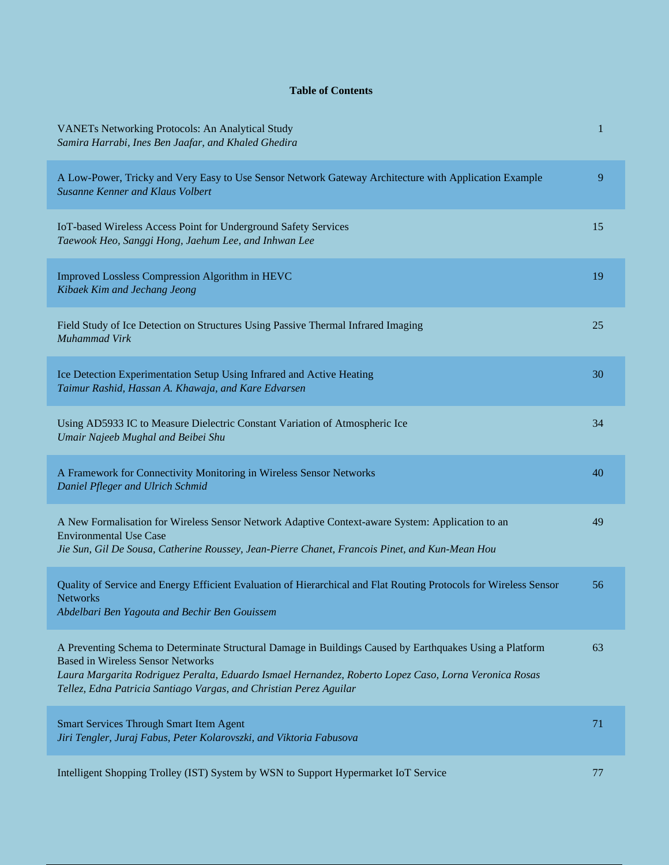## **Table of Contents**

| <b>VANETs Networking Protocols: An Analytical Study</b><br>Samira Harrabi, Ines Ben Jaafar, and Khaled Ghedira                                                                                                                                                                                                                      | $\mathbf 1$ |
|-------------------------------------------------------------------------------------------------------------------------------------------------------------------------------------------------------------------------------------------------------------------------------------------------------------------------------------|-------------|
| A Low-Power, Tricky and Very Easy to Use Sensor Network Gateway Architecture with Application Example<br>Susanne Kenner and Klaus Volbert                                                                                                                                                                                           | 9           |
| IoT-based Wireless Access Point for Underground Safety Services<br>Taewook Heo, Sanggi Hong, Jaehum Lee, and Inhwan Lee                                                                                                                                                                                                             | 15          |
| Improved Lossless Compression Algorithm in HEVC<br>Kibaek Kim and Jechang Jeong                                                                                                                                                                                                                                                     | 19          |
| Field Study of Ice Detection on Structures Using Passive Thermal Infrared Imaging<br>Muhammad Virk                                                                                                                                                                                                                                  | 25          |
| Ice Detection Experimentation Setup Using Infrared and Active Heating<br>Taimur Rashid, Hassan A. Khawaja, and Kare Edvarsen                                                                                                                                                                                                        | 30          |
| Using AD5933 IC to Measure Dielectric Constant Variation of Atmospheric Ice<br>Umair Najeeb Mughal and Beibei Shu                                                                                                                                                                                                                   | 34          |
| A Framework for Connectivity Monitoring in Wireless Sensor Networks<br>Daniel Pfleger and Ulrich Schmid                                                                                                                                                                                                                             | 40          |
| A New Formalisation for Wireless Sensor Network Adaptive Context-aware System: Application to an<br><b>Environmental Use Case</b><br>Jie Sun, Gil De Sousa, Catherine Roussey, Jean-Pierre Chanet, Francois Pinet, and Kun-Mean Hou                                                                                                 | 49          |
| Quality of Service and Energy Efficient Evaluation of Hierarchical and Flat Routing Protocols for Wireless Sensor<br><b>Networks</b><br>Abdelbari Ben Yagouta and Bechir Ben Gouissem                                                                                                                                               | 56          |
| A Preventing Schema to Determinate Structural Damage in Buildings Caused by Earthquakes Using a Platform<br><b>Based in Wireless Sensor Networks</b><br>Laura Margarita Rodriguez Peralta, Eduardo Ismael Hernandez, Roberto Lopez Caso, Lorna Veronica Rosas<br>Tellez, Edna Patricia Santiago Vargas, and Christian Perez Aguilar | 63          |
| <b>Smart Services Through Smart Item Agent</b><br>Jiri Tengler, Juraj Fabus, Peter Kolarovszki, and Viktoria Fabusova                                                                                                                                                                                                               | 71          |
| Intelligent Shopping Trolley (IST) System by WSN to Support Hypermarket IoT Service                                                                                                                                                                                                                                                 | 77          |